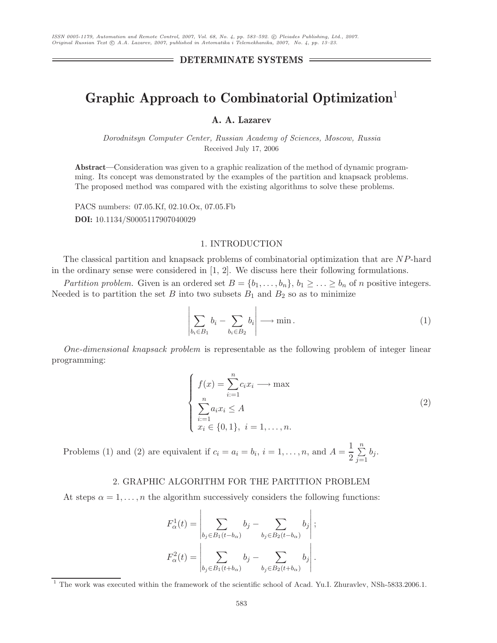# Graphic Approach to Combinatorial Optimization<sup>1</sup><br>A. A. Lazarev

*Dorodnitsyn Computer Center, Russian Academy of Sciences, Moscow, Russia* Received July 17, 2006

**Abstract—**Consideration was given to a graphic realization of the method of dynamic programming. Its concept was demonstrated by the examples of the partition and knapsack problems. The proposed method was compared with the existing algorithms to solve these problems.

PACS numbers: 07.05.Kf, 02.10.Ox, 07.05.Fb **DOI:** 10.1134/S0005117907040029

## 1. INTRODUCTION

The classical partition and knapsack problems of combinatorial optimization that are NP-hard in the ordinary sense were considered in  $[1, 2]$ . We discuss here their following formulations.

*Partition problem.* Given is an ordered set  $B = \{b_1, \ldots, b_n\}, b_1 \geq \ldots \geq b_n$  of n positive integers. Needed is to partition the set B into two subsets  $B_1$  and  $B_2$  so as to minimize

$$
\left| \sum_{b_i \in B_1} b_i - \sum_{b_i \in B_2} b_i \right| \longrightarrow \min. \tag{1}
$$

*One-dimensional knapsack problem* is representable as the following problem of integer linear programming:

$$
\begin{cases}\nf(x) = \sum_{i=1}^{n} c_i x_i \longrightarrow \max \\
\sum_{i=1}^{n} a_i x_i \le A \\
x_i \in \{0, 1\}, \ i = 1, \dots, n.\n\end{cases} \tag{2}
$$

Problems (1) and (2) are equivalent if  $c_i = a_i = b_i$ ,  $i = 1, ..., n$ , and  $A = \frac{1}{2} \sum_{j=1}^{n}$  $\sum_{j=1} b_j$ .

# 2. GRAPHIC ALGORITHM FOR THE PARTITION PROBLEM

At steps  $\alpha = 1, \ldots, n$  the algorithm successively considers the following functions:

$$
F_{\alpha}^{1}(t) = \left| \sum_{b_{j} \in B_{1}(t-b_{\alpha})} b_{j} - \sum_{b_{j} \in B_{2}(t-b_{\alpha})} b_{j} \right|;
$$

$$
F_{\alpha}^{2}(t) = \left| \sum_{b_{j} \in B_{1}(t+b_{\alpha})} b_{j} - \sum_{b_{j} \in B_{2}(t+b_{\alpha})} b_{j} \right|.
$$

<sup>&</sup>lt;sup>1</sup> The work was executed within the framework of the scientific school of Acad. Yu.I. Zhuravlev, NSh-5833.2006.1.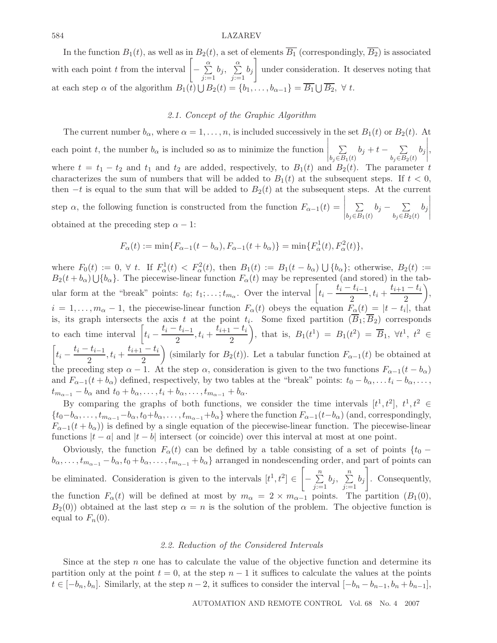#### 584 LAZAREV

In the function  $B_1(t)$ , as well as in  $B_2(t)$ , a set of elements  $\overline{B_1}$  (correspondingly,  $\overline{B_2}$ ) is associated with each point t from the interval  $\left[-\sum_{j:=1}^{\alpha}$  $\sum_{j:=1}^{\alpha} b_j$ ,  $\sum_{j:=1}^{\alpha} b_j$ 1 under consideration. It deserves noting that at each step  $\alpha$  of the algorithm  $B_1(t) \cup B_2(t) = \{b_1, \ldots, b_{\alpha-1}\} = \overline{B_1} \cup \overline{B_2}$ ,  $\forall t$ .

#### *2.1. Concept of the Graphic Algorithm*

The current number  $b_{\alpha}$ , where  $\alpha = 1, \ldots, n$ , is included successively in the set  $B_1(t)$  or  $B_2(t)$ . At each point t, the number  $b_{\alpha}$  is included so as to minimize the function  $\bigg| \sum_{b_j \in B_1}$  $\sum_{b_j \in B_1(t)} b_j + t - \sum_{b_j \in B_2(t)} b_j$  $\Bigg\vert$ , where  $t = t_1 - t_2$  and  $t_1$  and  $t_2$  are added, respectively, to  $B_1(t)$  and  $B_2(t)$ . The parameter t characterizes the sum of numbers that will be added to  $B_1(t)$  at the subsequent steps. If  $t < 0$ , then  $-t$  is equal to the sum that will be added to  $B_2(t)$  at the subsequent steps. At the current step  $\alpha$ , the following function is constructed from the function  $F_{\alpha-1}(t)$  =  $\Bigg| \sum_{b_j \in B_1}$  $\sum_{b_j\in B_1(t)} b_j - \sum_{b_j\in B_2(t)} b_j$ |<br>|<br>|<br>|<br>|<br>|<br>|<br>| obtained at the preceding step  $\alpha - 1$ :

$$
F_{\alpha}(t) := \min\{F_{\alpha-1}(t - b_{\alpha}), F_{\alpha-1}(t + b_{\alpha})\} = \min\{F_{\alpha}^{1}(t), F_{\alpha}^{2}(t)\},\
$$

where  $F_0(t) := 0, \forall t$ . If  $F_\alpha^1(t) < F_\alpha^2(t)$ , then  $B_1(t) := B_1(t - b_\alpha) \cup \{b_\alpha\}$ ; otherwise,  $B_2(t) := B_2(t + b_1) \cup b_1$ . The piecewise linear function  $F_\alpha(t)$  may be represented (and stored) in the table  $B_2(t + b_\alpha) \cup \{b_\alpha\}$ . The piecewise-linear function  $F_\alpha(t)$  may be represented (and stored) in the tabular form at the "break" points:  $t_0$ ;  $t_1$ ; ...;  $t_{m_\alpha}$ . Over the interval  $\left[t_i - \frac{t_i - t_{i-1}}{2}, t_i + \frac{t_{i+1} - t_i}{2}\right]$  $\bigg),$  $i = 1, \ldots, m_{\alpha} - 1$ , the piecewise-linear function  $F_{\alpha}(t)$  obeys the equation  $F_{\alpha}(t) = |t - t_i|$ , that is, its graph intersects the axis t at the point  $t_i$ . Some fixed partition  $(B_1; B_2)$  corresponds to each time interval  $\left[ t_i - \frac{t_i - t_{i-1}}{2}, t_i + \frac{t_{i+1} - t_i}{2} \right]$ ), that is,  $B_1(t^1) = B_1(t^2) = \overline{B}_1$ ,  $\forall t^1, t^2 \in$  $\left[t_i - \frac{t_i - t_{i-1}}{2}, t_i + \frac{t_{i+1} - t_i}{2}\right]$ (similarly for  $B_2(t)$ ). Let a tabular function  $F_{\alpha-1}(t)$  be obtained at the preceding step  $\alpha - 1$ . At the step  $\alpha$ , consideration is given to the two functions  $F_{\alpha-1}(t - b_{\alpha})$ and  $F_{\alpha-1}(t + b_{\alpha})$  defined, respectively, by two tables at the "break" points:  $t_0 - b_{\alpha}, \ldots, t_i - b_{\alpha}, \ldots$  $t_{m_{\alpha-1}} - b_{\alpha}$  and  $t_0 + b_{\alpha}, \ldots, t_i + b_{\alpha}, \ldots, t_{m_{\alpha-1}} + b_{\alpha}$ .

By comparing the graphs of both functions, we consider the time intervals  $[t^1, t^2]$ ,  $t^1, t^2 \in$  ${t_0-b_\alpha,\ldots,t_{m_{\alpha-1}}-b_\alpha,t_0+b_\alpha,\ldots,t_{m_{\alpha-1}}+b_\alpha}$  where the function  $F_{\alpha-1}(t-b_\alpha)$  (and, correspondingly,  $F_{\alpha-1}(t+b_{\alpha})$  is defined by a single equation of the piecewise-linear function. The piecewise-linear functions  $|t - a|$  and  $|t - b|$  intersect (or coincide) over this interval at most at one point.

Obviously, the function  $F_{\alpha}(t)$  can be defined by a table consisting of a set of points  $\{t_0$  −  $b_{\alpha},\ldots,t_{m_{\alpha-1}}-b_{\alpha},t_0+b_{\alpha},\ldots,t_{m_{\alpha-1}}+b_{\alpha}$  arranged in nondescending order, and part of points can be eliminated. Consideration is given to the intervals  $[t^1, t^2] \in \left[-\sum_{j:=1}^n z^j\right]$  $\sum_{j:=1}^{n} b_j, \sum_{j:=1}^{n} b_j$ 1 . Consequently, the function  $F_{\alpha}(t)$  will be defined at most by  $m_{\alpha} = 2 \times m_{\alpha-1}$  points. The partition  $(B_1(0),$  $B_2(0)$  obtained at the last step  $\alpha = n$  is the solution of the problem. The objective function is equal to  $F_n(0)$ .

#### *2.2. Reduction of the Considered Intervals*

Since at the step  $n$  one has to calculate the value of the objective function and determine its partition only at the point  $t = 0$ , at the step  $n - 1$  it suffices to calculate the values at the points  $t \in [-b_n, b_n]$ . Similarly, at the step  $n-2$ , it suffices to consider the interval  $[-b_n - b_{n-1}, b_n + b_{n-1}]$ ,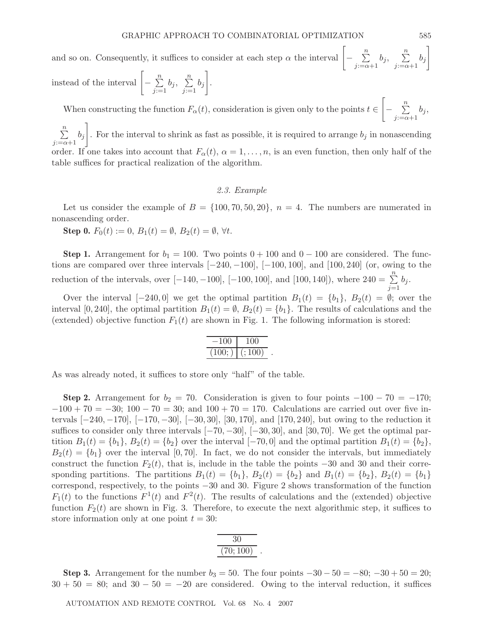instead of the interval 
$$
\left[-\sum_{j:=1}^{n} b_j, \sum_{j:=1}^{n} b_j\right]
$$
.

When constructing the function  $F_{\alpha}(t)$ , consideration is given only to the points  $t \in$  $\begin{bmatrix} - & \frac{n}{2} \\ - & \frac{n}{2} \end{bmatrix}$  $\sum_{j:=\alpha+1}^{n} o_j,$ 

 $\sum_{i=1}^{n}$  $\sum_{j:=\alpha+1}^{i} o_j$ 1 . For the interval to shrink as fast as possible, it is required to arrange  $b_j$  in nonascending order. If one takes into account that  $F_{\alpha}(t)$ ,  $\alpha = 1, \ldots, n$ , is an even function, then only half of the table suffices for practical realization of the algorithm.

#### *2.3. Example*

Let us consider the example of  $B = \{100, 70, 50, 20\}$ ,  $n = 4$ . The numbers are numerated in nonascending order.

**Step 0.**  $F_0(t) := 0$ ,  $B_1(t) = \emptyset$ ,  $B_2(t) = \emptyset$ ,  $\forall t$ .

**Step 1.** Arrangement for  $b_1 = 100$ . Two points  $0 + 100$  and  $0 - 100$  are considered. The functions are compared over three intervals [−240, <sup>−</sup>100], [−100, 100], and [100, 240] (or, owing to the reduction of the intervals, over  $[-140, -100]$ ,  $[-100, 100]$ , and  $[100, 140]$ ), where  $240 = \sum_{j=1}^{n} b_j$ .

Over the interval  $[-240, 0]$  we get the optimal partition  $B_1(t) = \{b_1\}$ ,  $B_2(t) = \emptyset$ ; over the interval [0, 240], the optimal partition  $B_1(t) = \emptyset$ ,  $B_2(t) = \{b_1\}$ . The results of calculations and the (extended) objective function  $F_1(t)$  are shown in Fig. 1. The following information is stored:

| 100 | 1 OO D               |  |
|-----|----------------------|--|
| 100 | $\cdot$ 100 $\prime$ |  |

As was already noted, it suffices to store only "half" of the table.

**Step 2.** Arrangement for  $b_2 = 70$ . Consideration is given to four points  $-100 - 70 = -170$ ;  $-100 + 70 = -30$ ;  $100 - 70 = 30$ ; and  $100 + 70 = 170$ . Calculations are carried out over five intervals [−240, <sup>−</sup>170], [−170, <sup>−</sup>30], [−30, 30], [30, 170], and [170, 240], but owing to the reduction it suffices to consider only three intervals  $[-70, -30]$ ,  $[-30, 30]$ , and  $[30, 70]$ . We get the optimal partition  $B_1(t) = \{b_1\}$ ,  $B_2(t) = \{b_2\}$  over the interval  $[-70, 0]$  and the optimal partition  $B_1(t) = \{b_2\}$ ,  $B_2(t) = \{b_1\}$  over the interval [0,70]. In fact, we do not consider the intervals, but immediately construct the function  $F_2(t)$ , that is, include in the table the points  $-30$  and 30 and their corresponding partitions. The partitions  $B_1(t) = \{b_1\}$ ,  $B_2(t) = \{b_2\}$  and  $B_1(t) = \{b_2\}$ ,  $B_2(t) = \{b_1\}$ correspond, respectively, to the points −30 and 30. Figure 2 shows transformation of the function  $F_1(t)$  to the functions  $F^1(t)$  and  $F^2(t)$ . The results of calculations and the (extended) objective function  $F_2(t)$  are shown in Fig. 3. Therefore, to execute the next algorithmic step, it suffices to store information only at one point  $t = 30$ :

| ×.                 |  |
|--------------------|--|
| $\cdot$ II<br>11 ) |  |

**Step 3.** Arrangement for the number  $b_3 = 50$ . The four points  $-30 - 50 = -80$ ;  $-30 + 50 = 20$ ;  $30 + 50 = 80$ ; and  $30 - 50 = -20$  are considered. Owing to the interval reduction, it suffices

AUTOMATION AND REMOTE CONTROL Vol. 68 No. 4 2007

1

 $\sum_{j:=\alpha+1}^{n} b_j, \sum_{j:=\alpha+1}^{n} b_j$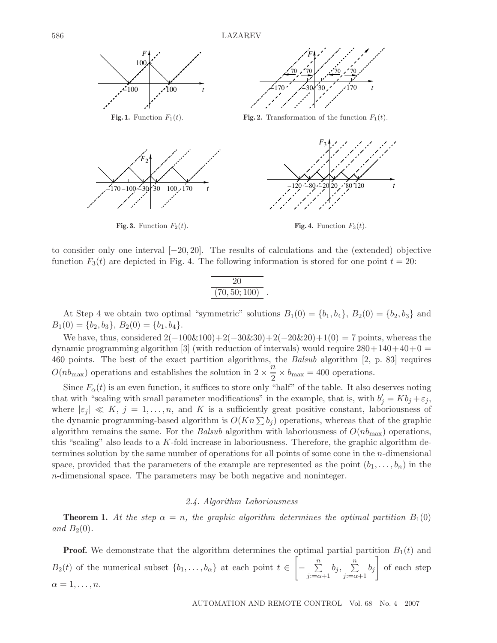586 LAZAREV



to consider only one interval [−20, 20]. The results of calculations and the (extended) objective function  $F_3(t)$  are depicted in Fig. 4. The following information is stored for one point  $t = 20$ :

$$
\frac{20}{(70, 50; 100)}.
$$

At Step 4 we obtain two optimal "symmetric" solutions  $B_1(0) = \{b_1, b_4\}, B_2(0) = \{b_2, b_3\}$  and  $B_1(0) = \{b_2, b_3\}, B_2(0) = \{b_1, b_4\}.$ 

We have, thus, considered  $2(-100\&100)+2(-30\&30)+2(-20\&20)+1(0) = 7$  points, whereas the dynamic programming algorithm [3] (with reduction of intervals) would require  $280+140+40+0=$ 460 points. The best of the exact partition algorithms, the *Balsub* algorithm [2, p. 83] requires  $O(n b_{\text{max}})$  operations and establishes the solution in  $2 \times \frac{n}{2} \times b_{\text{max}} = 400$  operations.

Since  $F_{\alpha}(t)$  is an even function, it suffices to store only "half" of the table. It also deserves noting that with "scaling with small parameter modifications" in the example, that is, with  $b'_j = Kb_j + \varepsilon_j$ ,<br>where  $|\varepsilon_j| \ll K$ ,  $j = 1$ ,  $n$ , and K is a sufficiently great positive constant, laboriousness of where  $|\varepsilon_j| \ll K$ ,  $j = 1, \ldots, n$ , and K is a sufficiently great positive constant, laboriousness of the dynamic programming-based algorithm is  $O(Kn \sum b_i)$  operations, whereas that of the graphic algorithm remains the same. For the *Balsub* algorithm with laboriousness of  $O(n_b)_{\text{max}}$  operations, this "scaling" also leads to a  $K$ -fold increase in laboriousness. Therefore, the graphic algorithm determines solution by the same number of operations for all points of some cone in the n-dimensional space, provided that the parameters of the example are represented as the point  $(b_1,\ldots,b_n)$  in the n-dimensional space. The parameters may be both negative and noninteger.

# *2.4. Algorithm Laboriousness*

**Theorem 1.** At the step  $\alpha = n$ , the graphic algorithm determines the optimal partition  $B_1(0)$ and  $B_2(0)$ .

**Proof.** We demonstrate that the algorithm determines the optimal partial partition  $B_1(t)$  and  $B_2(t)$  of the numerical subset  $\{b_1,\ldots,b_\alpha\}$  at each point  $t \in$  $\begin{bmatrix} - & \frac{n}{2} \\ - & \frac{n}{2} \end{bmatrix}$  $\sum_{j:=\alpha+1}^{n} b_j, \sum_{j:=\alpha+1}^{n} b_j$ 1 of each step  $\alpha = 1, \ldots, n$ .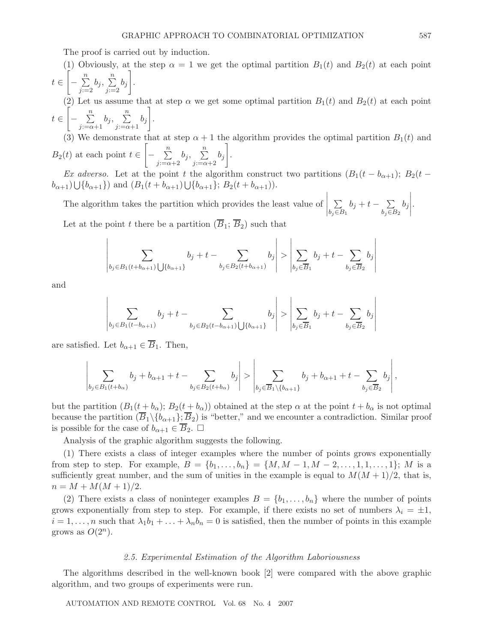The proof is carried out by induction.

(1) Obviously, at the step  $\alpha = 1$  we get the optimal partition  $B_1(t)$  and  $B_2(t)$  at each point  $t \in$  $\left[-\frac{n}{\sum}\right]$  $\sum_{j=2}^{n} b_j, \sum_{j=2}^{n} b_j$ 1 .

(2) Let us assume that at step  $\alpha$  we get some optimal partition  $B_1(t)$  and  $B_2(t)$  at each point  $t \in$  $\begin{bmatrix} - & \frac{n}{2} \\ - & \frac{n}{2} \end{bmatrix}$  $\sum_{j:=\alpha+1}^n b_j, \sum_{j:=\alpha+1}^n b_j$ 1 .

(3) We demonstrate that at step  $\alpha + 1$  the algorithm provides the optimal partition  $B_1(t)$  and  $B_2(t)$  at each point  $t \in$  $\begin{bmatrix} - & \frac{n}{2} \\ - & \frac{n}{2} \end{bmatrix}$  $\sum_{j=-\alpha+2}^n b_j, \sum_{j=-\alpha+2}^n b_j$ 1 .

*Ex adverso.* Let at the point t the algorithm construct two partitions  $(B_1(t - b_{\alpha+1}); B_2(t (b_{\alpha+1}) \bigcup \{b_{\alpha+1}\}\right)$  and  $(B_1(t + b_{\alpha+1}) \bigcup \{b_{\alpha+1}\}; B_2(t + b_{\alpha+1})\big)$ .

The algorithm takes the partition which provides the least value of  $\Bigg| \sum_{b_j \in E}$  $\sum_{b_j \in B_1} b_j + t - \sum_{b_j \in B_2} b_j$  $\cdot$ Let at the point t there be a partition  $(\overline{B}_1; \overline{B}_2)$  such that

Let at the point 
$$
t
$$
 there be a partition  $(D_1, D_2)$  such that

$$
\left| \sum_{b_j \in B_1(t+b_{\alpha+1}) \bigcup \{b_{\alpha+1}\}} b_j + t - \sum_{b_j \in B_2(t+b_{\alpha+1})} b_j \right| > \left| \sum_{b_j \in \overline{B}_1} b_j + t - \sum_{b_j \in \overline{B}_2} b_j \right|
$$

and

$$
\left| \sum_{b_j \in B_1(t - b_{\alpha+1})} b_j + t - \sum_{b_j \in B_2(t - b_{\alpha+1})} b_j \right| > \left| \sum_{b_j \in \overline{B}_1} b_j + t - \sum_{b_j \in \overline{B}_2} b_j \right|
$$

are satisfied. Let  $b_{\alpha+1} \in \overline{B}_1$ . Then,

$$
\left|\sum_{b_j \in B_1(t+b_{\alpha})} b_j + b_{\alpha+1} + t - \sum_{b_j \in B_2(t+b_{\alpha})} b_j \right| > \left|\sum_{b_j \in \overline{B}_1 \setminus \{b_{\alpha+1}\}} b_j + b_{\alpha+1} + t - \sum_{b_j \in \overline{B}_2} b_j \right|,
$$

but the partition  $(B_1(t + b_\alpha); B_2(t + b_\alpha))$  obtained at the step  $\alpha$  at the point  $t + b_\alpha$  is not optimal because the partition  $(\overline{B}_1 \setminus \{b_{\alpha+1}\}; \overline{B}_2)$  is "better," and we encounter a contradiction. Similar proof is possible for the case of  $b_{\alpha+1} \in B_2$ .  $\Box$ 

Analysis of the graphic algorithm suggests the following.

(1) There exists a class of integer examples where the number of points grows exponentially from step to step. For example,  $B = \{b_1, \ldots, b_n\} = \{M, M-1, M-2, \ldots, 1, 1, \ldots, 1\}; M$  is a sufficiently great number, and the sum of unities in the example is equal to  $M(M + 1)/2$ , that is,  $n = M + M(M + 1)/2.$ 

(2) There exists a class of noninteger examples  $B = \{b_1, \ldots, b_n\}$  where the number of points grows exponentially from step to step. For example, if there exists no set of numbers  $\lambda_i = \pm 1$ ,  $i = 1, \ldots, n$  such that  $\lambda_1 b_1 + \ldots + \lambda_n b_n = 0$  is satisfied, then the number of points in this example grows as  $O(2^n)$ .

### *2.5. Experimental Estimation of the Algorithm Laboriousness*

The algorithms described in the well-known book [2] were compared with the above graphic algorithm, and two groups of experiments were run.

AUTOMATION AND REMOTE CONTROL Vol. 68 No. 4 2007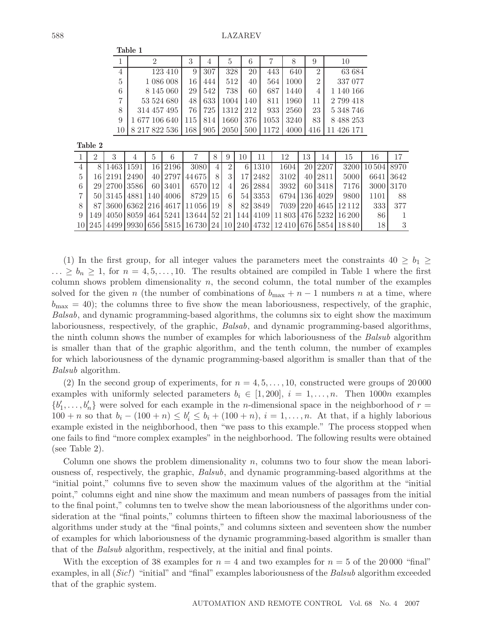|                |                     | 3    | 4   | 5                             | 6   |      |      | 9              | 10         |
|----------------|---------------------|------|-----|-------------------------------|-----|------|------|----------------|------------|
| $\overline{4}$ | 123 410             | 9    | 307 | 328                           | 20  | 443  | 640  | $\mathfrak{D}$ | 63 684     |
| $\frac{5}{2}$  | 1 086 008           | 16   | 444 | 512                           | 40  | 564  | 1000 | $\overline{2}$ | 337 077    |
| 6              | 8 1 4 5 0 6 0       | 29   | 542 | 738                           | 60  | 687  | 1440 | 4              | 1 140 166  |
| $\overline{7}$ | 53 524 680          | 48   | 633 | 1004                          | 140 | 811  | 1960 | 11             | 2 799 418  |
| 8              | 314 457 495         | 76 I |     | 725 1312 212                  |     | 933  | 2560 | 23             | 5 348 746  |
| 9              | 1 677 106 640       |      |     | 115   814   1660   376        |     | 1053 | 3240 | 83             | 8 488 253  |
| 10             | 8 217 822 536   168 |      |     | $905 \mid 2050 \mid 500 \mid$ |     | 1172 | 4000 | 416            | 11 426 171 |
|                |                     |      |     |                               |     |      |      |                |            |

|                |                               | $\mathcal{D}$ | 6         |                                                                       |    | 9              | 10 | 11      | 12   | 13 | 14            | 15                         | 16                   | 17  |
|----------------|-------------------------------|---------------|-----------|-----------------------------------------------------------------------|----|----------------|----|---------|------|----|---------------|----------------------------|----------------------|-----|
| $\overline{4}$ | 8 1463 1591                   |               | 16 2196   | 3080                                                                  | 4  | $\overline{2}$ |    | 6 1310  | 1604 |    | 20 2207       |                            | 3200   10 504   8970 |     |
| $\frac{5}{2}$  | 16   2191   2490              |               | 40   2797 | 44675                                                                 |    | $\mathcal{S}$  |    | 17 2482 | 3102 |    | 40 2811       | 5000                       | 6641 3642            |     |
| 6              | 29 2700 3586                  |               | 60 3401   | 6570                                                                  | 12 | $\downarrow$   |    | 26 2884 | 3932 |    | 60 3418       | 7176                       | 3000 3170            |     |
|                | 50   3145   4881   140   4006 |               |           | 8729 15                                                               |    | 61             |    | 54 3353 |      |    | 6794 136 4029 | 9800                       | 1101                 | -88 |
|                |                               |               |           | 87   3600   6362   216   4617   11 056   19                           |    | 8              |    | 82 3849 |      |    |               | 7039   220   4645   12 112 | 333                  | 377 |
|                |                               |               |           | 149 4050 8059 464 5241 13 644 52 21 144 4109 11 803 476 5232 16 200   |    |                |    |         |      |    |               |                            | 86                   |     |
|                |                               |               |           | 10 245 4499 9930 656 5815 16 730 24 10 240 4732 12 410 676 5854 18840 |    |                |    |         |      |    |               |                            | 18                   |     |

(1) In the first group, for all integer values the parameters meet the constraints  $40 \ge b_1 \ge$  $\ldots \geq b_n \geq 1$ , for  $n = 4, 5, \ldots, 10$ . The results obtained are compiled in Table 1 where the first column shows problem dimensionality  $n$ , the second column, the total number of the examples solved for the given n (the number of combinations of  $b_{\text{max}} + n - 1$  numbers n at a time, where  $b_{\text{max}} = 40$ ; the columns three to five show the mean laboriousness, respectively, of the graphic, *Balsab*, and dynamic programming-based algorithms, the columns six to eight show the maximum laboriousness, respectively, of the graphic, *Balsab*, and dynamic programming-based algorithms, the ninth column shows the number of examples for which laboriousness of the *Balsub* algorithm is smaller than that of the graphic algorithm, and the tenth column, the number of examples for which laboriousness of the dynamic programming-based algorithm is smaller than that of the *Balsub* algorithm.

(2) In the second group of experiments, for  $n = 4, 5, \ldots, 10$ , constructed were groups of 20000 examples with uniformly selected parameters  $b_i \in [1, 200], i = 1, \ldots, n$ . Then 1000n examples  ${b'_1, \ldots, b'_n}$  were solved for each example in the *n*-dimensional space in the neighborhood of  $r = 100 + n$  so that  $b = (100 + n) \le k' \le h + (100 + n) i = 1$  and At that if a highly laborious  $100 + n$  so that  $b_i - (100 + n) \le b'_i \le b_i + (100 + n)$ ,  $i = 1, ..., n$ . At that, if a highly laborious example existed in the neighborhood, then "we pass to this example." The process stopped when example existed in the neighborhood, then "we pass to this example." The process stopped when one fails to find "more complex examples" in the neighborhood. The following results were obtained (see Table 2).

Column one shows the problem dimensionality  $n$ , columns two to four show the mean laboriousness of, respectively, the graphic, *Balsub*, and dynamic programming-based algorithms at the "initial point," columns five to seven show the maximum values of the algorithm at the "initial point," columns eight and nine show the maximum and mean numbers of passages from the initial to the final point," columns ten to twelve show the mean laboriousness of the algorithms under consideration at the "final points," columns thirteen to fifteen show the maximal laboriousness of the algorithms under study at the "final points," and columns sixteen and seventeen show the number of examples for which laboriousness of the dynamic programming-based algorithm is smaller than that of the *Balsub* algorithm, respectively, at the initial and final points.

With the exception of 38 examples for  $n = 4$  and two examples for  $n = 5$  of the 20000 "final" examples, in all (*Sic!*) "initial" and "final" examples laboriousness of the *Balsub* algorithm exceeded that of the graphic system.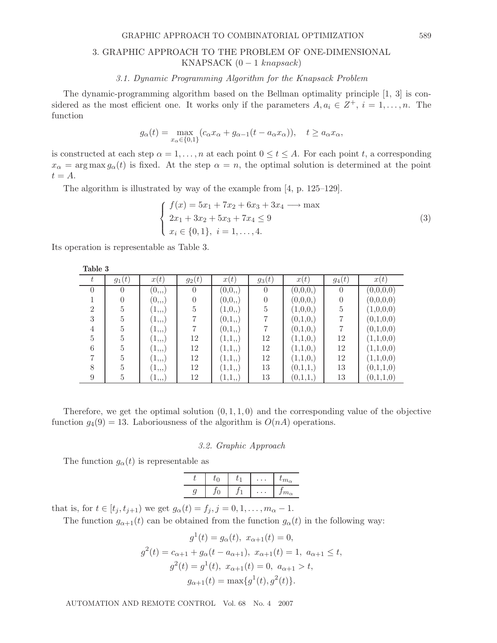#### GRAPHIC APPROACH TO COMBINATORIAL OPTIMIZATION 589

# 3. GRAPHIC APPROACH TO THE PROBLEM OF ONE-DIMENSIONAL KNAPSACK  $(0 - 1 \; knapsack)$

#### *3.1. Dynamic Programming Algorithm for the Knapsack Problem*

The dynamic-programming algorithm based on the Bellman optimality principle [1, 3] is considered as the most efficient one. It works only if the parameters  $A, a_i \in \mathbb{Z}^+, i = 1, \ldots, n$ . The function

$$
g_{\alpha}(t) = \max_{x_{\alpha} \in \{0,1\}} (c_{\alpha}x_{\alpha} + g_{\alpha-1}(t - a_{\alpha}x_{\alpha})), \quad t \ge a_{\alpha}x_{\alpha},
$$

is constructed at each step  $\alpha = 1, \ldots, n$  at each point  $0 \le t \le A$ . For each point t, a corresponding  $x_\alpha = \arg \max g_\alpha(t)$  is fixed. At the step  $\alpha = n$ , the optimal solution is determined at the point  $t = A$ .

The algorithm is illustrated by way of the example from [4, p. 125–129].

$$
\begin{cases}\nf(x) = 5x_1 + 7x_2 + 6x_3 + 3x_4 \longrightarrow \max \\
2x_1 + 3x_2 + 5x_3 + 7x_4 \le 9 \\
x_i \in \{0, 1\}, \ i = 1, ..., 4.\n\end{cases}
$$
\n(3)

Its operation is representable as Table 3.

| Taple 3        |          |                          |                  |         |                |          |                |           |
|----------------|----------|--------------------------|------------------|---------|----------------|----------|----------------|-----------|
| t              | $g_1(t)$ | x(t)                     | $g_2(t)$         | x(t)    | $g_3(t)$       | x(t)     | $g_4(t)$       | x(t)      |
| $\theta$       | $\theta$ | $(0_{,1})$               | $\overline{0}$   | (0,0,.) | $\Omega$       | (0,0,0,) | $\theta$       | (0,0,0,0) |
|                |          | $(0_{,1})$               | $\boldsymbol{0}$ | (0,0,.) |                | (0,0,0,) | $\overline{0}$ | (0,0,0,0) |
| $\overline{2}$ | 5        | (1,  )                   | $\bf 5$          | (1,0,   | $\overline{5}$ | (1,0,0,) | $\bf 5$        | (1,0,0,0) |
| 3              | 5        | $(1_{,1,1})$             | 7                | (0,1,,) |                | (0,1,0,) | 7              | (0,1,0,0) |
| 4              | 5        | $(1_{,1,1})$             |                  | (0,1,,) |                | (0,1,0,) |                | (0,1,0,0) |
| 5              | 5        | $\perp, \, , \, \rangle$ | 12               | (1,1,.) | 12             | (1,1,0,) | 12             | (1,1,0,0) |
| 6              | 5        | (1, 0)                   | 12               | (1,1,,) | 12             | (1,1,0,) | 12             | (1,1,0,0) |
| $\overline{ }$ | 5        | (1,  )                   | 12               | (1,1,,) | 12             | (1,1,0,) | 12             | (1,1,0,0) |
| 8              | 5        | (1,  )                   | 12               | (1,1,,) | 13             | (0,1,1,) | 13             | (0,1,1,0) |
| 9              | 5        | 1, 1, 1)                 | 12               | (1,1,   | 13             | (0,1,1,) | 13             | (0,1,1,0) |

Therefore, we get the optimal solution  $(0, 1, 1, 0)$  and the corresponding value of the objective function  $g_4(9) = 13$ . Laboriousness of the algorithm is  $O(nA)$  operations.

#### *3.2. Graphic Approach*

The function  $g_{\alpha}(t)$  is representable as

| $m_{\alpha}$<br>$\boldsymbol{\cdot}$<br>ℯ<br>ی |  | U | $\iota_{m_{\alpha}}$ |
|------------------------------------------------|--|---|----------------------|
|                                                |  |   |                      |

that is, for  $t \in [t_j, t_{j+1})$  we get  $g_\alpha(t) = f_j, j = 0, 1, ..., m_\alpha - 1$ .

The function  $g_{\alpha+1}(t)$  can be obtained from the function  $g_{\alpha}(t)$  in the following way:

$$
g^{1}(t) = g_{\alpha}(t), x_{\alpha+1}(t) = 0,
$$
  
\n
$$
g^{2}(t) = c_{\alpha+1} + g_{\alpha}(t - a_{\alpha+1}), x_{\alpha+1}(t) = 1, a_{\alpha+1} \le t,
$$
  
\n
$$
g^{2}(t) = g^{1}(t), x_{\alpha+1}(t) = 0, a_{\alpha+1} > t,
$$
  
\n
$$
g_{\alpha+1}(t) = \max\{g^{1}(t), g^{2}(t)\}.
$$

AUTOMATION AND REMOTE CONTROL Vol. 68 No. 4 2007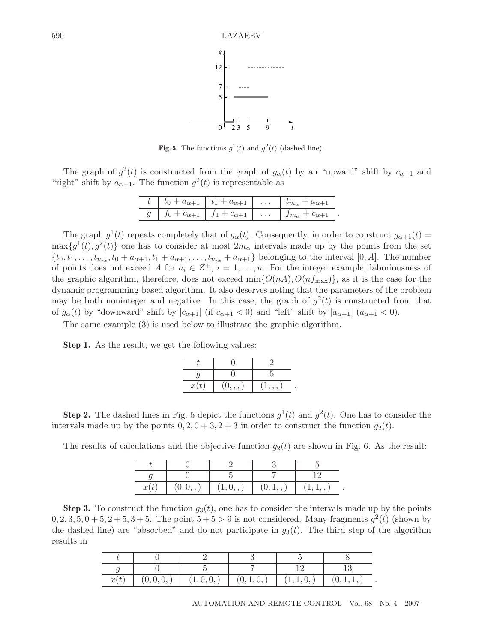

**Fig. 5.** The functions  $g^1(t)$  and  $g^2(t)$  (dashed line).

The graph of  $g^2(t)$  is constructed from the graph of  $g_\alpha(t)$  by an "upward" shift by  $c_{\alpha+1}$  and "right" shift by  $a_{\alpha+1}$ . The function  $g^2(t)$  is representable as

|                                                                                   | $t_0 + a_{\alpha+1}$ $t_1 + a_{\alpha+1}$ $t_{m_\alpha}$ | $u_{m}$ + $a_{\alpha+1}$ |  |
|-----------------------------------------------------------------------------------|----------------------------------------------------------|--------------------------|--|
| $g \mid f_0 + c_{\alpha+1} \mid f_1 + c_{\alpha+1} \mid \ldots \mid f_{m_\alpha}$ |                                                          | $+ c_{\alpha+1}$         |  |

The graph  $g^1(t)$  repeats completely that of  $g_\alpha(t)$ . Consequently, in order to construct  $g_{\alpha+1}(t)$  $\max\{g^1(t), g^2(t)\}\$  one has to consider at most  $2m_\alpha$  intervals made up by the points from the set  $\{t_0, t_1,\ldots,t_{m_\alpha}, t_0 + a_{\alpha+1}, t_1 + a_{\alpha+1},\ldots,t_{m_\alpha} + a_{\alpha+1}\}\$ belonging to the interval [0, A]. The number of points does not exceed A for  $a_i \in \mathbb{Z}^+, i = 1, \ldots, n$ . For the integer example, laboriousness of the graphic algorithm, therefore, does not exceed  $\min\{O(nA), O(nf_{\text{max}})\}\)$ , as it is the case for the dynamic programming-based algorithm. It also deserves noting that the parameters of the problem may be both noninteger and negative. In this case, the graph of  $g^2(t)$  is constructed from that of  $g_{\alpha}(t)$  by "downward" shift by  $|c_{\alpha+1}|$  (if  $c_{\alpha+1} < 0$ ) and "left" shift by  $|a_{\alpha+1}|$   $(a_{\alpha+1} < 0)$ .

The same example (3) is used below to illustrate the graphic algorithm.

**Step 1.** As the result, we get the following values:

| x(t) | , , | , , , , |  |
|------|-----|---------|--|

**Step 2.** The dashed lines in Fig. 5 depict the functions  $q^1(t)$  and  $q^2(t)$ . One has to consider the intervals made up by the points  $0, 2, 0+3, 2+3$  in order to construct the function  $g_2(t)$ .

The results of calculations and the objective function  $g_2(t)$  are shown in Fig. 6. As the result:

| x(t) | (0,0,.) | (1,0,,) | (0,1, 0) | (1,1, ,) |
|------|---------|---------|----------|----------|

**Step 3.** To construct the function  $g_3(t)$ , one has to consider the intervals made up by the points  $0, 2, 3, 5, 0+5, 2+5, 3+5$ . The point  $5+5 > 9$  is not considered. Many fragments  $q^2(t)$  (shown by the dashed line) are "absorbed" and do not participate in  $g_3(t)$ . The third step of the algorithm results in

| x(t) | (0, 0, 0, | (1,0,0, | (0,1,0, | (1,1,0, | (0, 1, 1, |
|------|-----------|---------|---------|---------|-----------|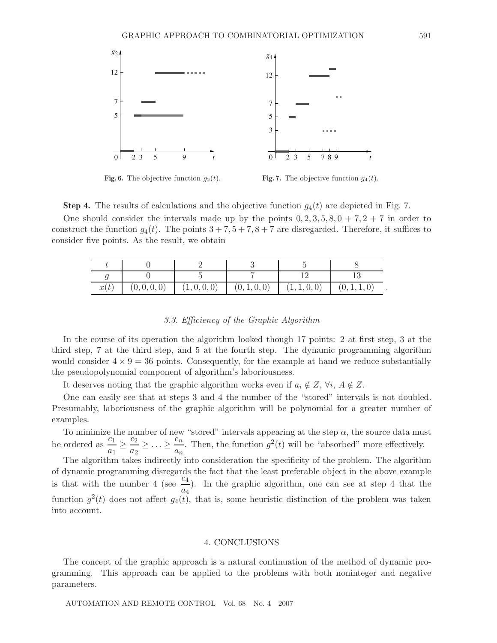

**Fig. 6.** The objective function  $g_2(t)$ . **Fig. 7.** The objective function  $g_4(t)$ .

**Step 4.** The results of calculations and the objective function  $g_4(t)$  are depicted in Fig. 7. One should consider the intervals made up by the points  $0, 2, 3, 5, 8, 0+7, 2+7$  in order to construct the function  $g_4(t)$ . The points  $3 + 7, 5 + 7, 8 + 7$  are disregarded. Therefore, it suffices to consider five points. As the result, we obtain

| x(t) | (0, 0, 0, 0) | (1,0,0,0) | (0, 1, 0, 0) | (1, 1, 0, 0) | (0, 1, 1, 0) |
|------|--------------|-----------|--------------|--------------|--------------|

## *3.3. Efficiency of the Graphic Algorithm*

In the course of its operation the algorithm looked though 17 points: 2 at first step, 3 at the third step, 7 at the third step, and 5 at the fourth step. The dynamic programming algorithm would consider  $4 \times 9 = 36$  points. Consequently, for the example at hand we reduce substantially the pseudopolynomial component of algorithm's laboriousness.

It deserves noting that the graphic algorithm works even if  $a_i \notin Z$ ,  $\forall i$ ,  $A \notin Z$ .

One can easily see that at steps 3 and 4 the number of the "stored" intervals is not doubled. Presumably, laboriousness of the graphic algorithm will be polynomial for a greater number of examples.

To minimize the number of new "stored" intervals appearing at the step  $\alpha$ , the source data must be ordered as  $\frac{c_1}{a_1} \ge \frac{c_2}{a_2} \ge \ldots \ge \frac{c_n}{a_n}$ . Then, the function  $g^2(t)$  will be "absorbed" more effectively.

The algorithm takes indirectly into consideration the specificity of the problem. The algorithm of dynamic programming disregards the fact that the least preferable object in the above example is that with the number 4 (see  $\frac{c_4}{\epsilon}$ ). In the graphic algorithm, one can see at step 4 that the function  $g^2(t)$  does not affect  $g_4(t)$ , that is, some heuristic distinction of the problem was taken<br>into account into account.

#### 4. CONCLUSIONS

The concept of the graphic approach is a natural continuation of the method of dynamic programming. This approach can be applied to the problems with both noninteger and negative parameters.

AUTOMATION AND REMOTE CONTROL Vol. 68 No. 4 2007